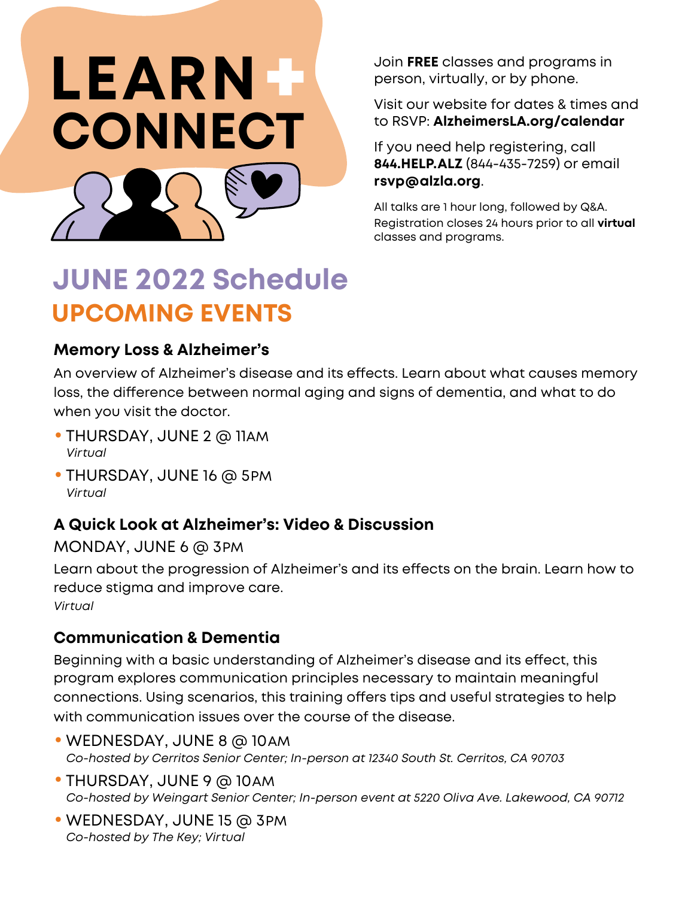

Join **FREE** classes and programs in person, virtually, or by phone.

Visit our website for dates & times and to RSVP: **[AlzheimersLA.org/calendar](https://www.alzheimersla.org/get-involved/events/calendar-of-events/)**

If you need help registering, call **844.HELP.ALZ** (844-435-7259) or email **rsvp@alzla.org**.

All talks are 1 hour long, followed by Q&A. Registration closes 24 hours prior to all **virtual** classes and programs.

# **JUNE 2022 Schedule UPCOMING EVENTS**

#### **Memory Loss & Alzheimer's**

An overview of Alzheimer's disease and its effects. Learn about what causes memory loss, the difference between normal aging and signs of dementia, and what to do when you visit the doctor.

- THURSDAY, JUNE 2 @ 11AM  *Virtual*
- THURSDAY, JUNE 16 @ 5PM  *Virtual*

## **A Quick Look at Alzheimer's: Video & Discussion**

MONDAY, JUNE 6 @ 3PM

Learn about the progression of Alzheimer's and its effects on the brain. Learn how to reduce stigma and improve care. *Virtual*

## **Communication & Dementia**

Beginning with a basic understanding of Alzheimer's disease and its effect, this program explores communication principles necessary to maintain meaningful connections. Using scenarios, this training offers tips and useful strategies to help with communication issues over the course of the disease.

- •WEDNESDAY, JUNE 8 @ 10AM  *Co-hosted by Cerritos Senior Center; In-person at 12340 South St. Cerritos, CA 90703*
- THURSDAY, JUNE 9 @ 10AM Co-hosted by Weingart Senior Center; In-person event at 5220 Oliva Ave. Lakewood, CA 90712
- •WEDNESDAY, JUNE 15 @ 3PM  *Co-hosted by The Key; Virtual*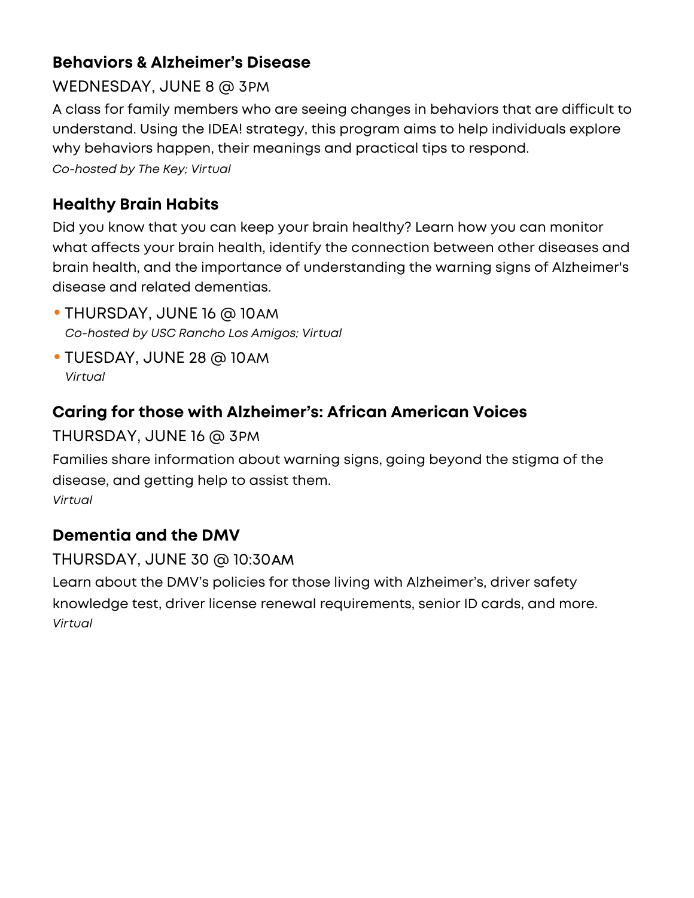# **Behaviors & Alzheimer's Disease**

# WEDNESDAY, JUNE 8 @ 3PM

A class for family members who are seeing changes in behaviors that are difficult to understand. Using the IDEA! strategy, this program aims to help individuals explore why behaviors happen, their meanings and practical tips to respond. *Co-hosted by The Key; Vir tual*

# **Healthy Brain Habits**

Did you know that you can keep your brain healthy? Learn how you can monitor what affects your brain health, identify the connection between other diseases and brain health, and the importance of understanding the warning signs of Alzheimer's disease and related dementias.

- THURSDAY, JUNE 16 @ 10AM *Co-hosted by USC Rancho Los Amigos; Vir tual*
- TUESDAY, JUNE 28 @ 10AM *Vir tual*

# **Caring for those with Alzheimer's: African American Voices**

#### THURSDAY, JUNE 16 @ 3PM

Families share information about warning signs, going beyond the stigma of the disease, and getting help to assist them. *Vir tual*

# **Dementia and the DMV**

#### THURSDAY, JUNE 30 @ 10:30AM

Learn about the DMV's policies for those living with Alzheimer's, driver safety knowledge test, driver license renewal requirements, senior ID cards, and more. *Vir tual*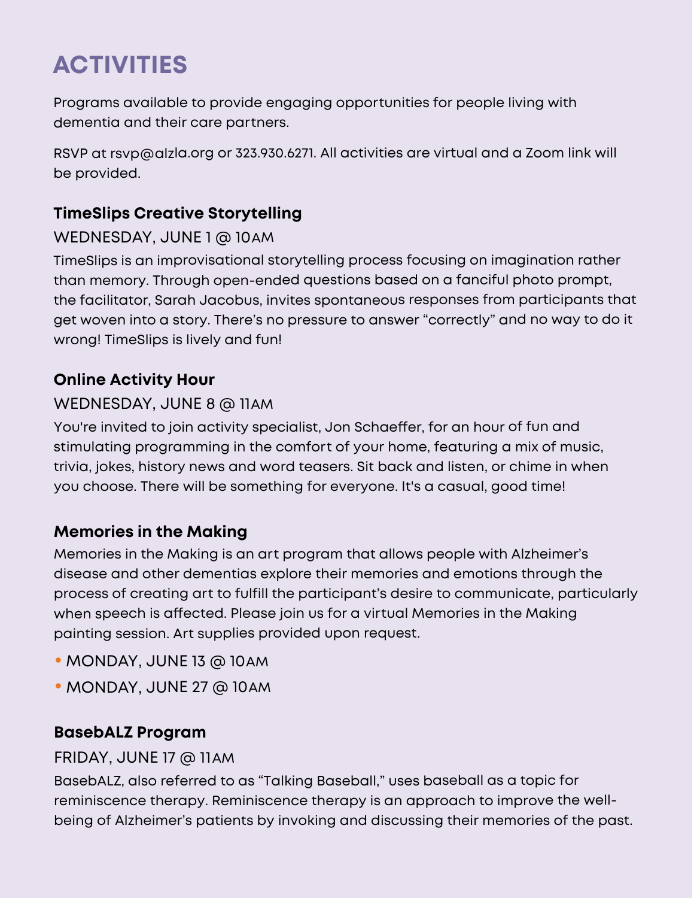# **ACTIVITIES**

Programs available to provide engaging opportunities for people living with dementia and their care partners.

 $RSVP$  at rsvp@alzla.org or 323.930.6271. All activities are virtual and a Zoom link will be provided.

# **TimeSlips Creative Storytelling**

#### WEDNESDAY, JUNE 1 @ 10AM

TimeSlips is an improvisational storytelling process focusing on imagination rather than memory. Through open-ended questions based on a fanciful photo prompt, the facilitator, Sarah Jacobus, invites spontaneous responses from participants that get woven into a story. There's no pressure to answer "correctly" and no way to do it wrong! TimeSlips is lively and fun!

#### **Online Activity Hour**

#### WEDNESDAY, JUNE 8 @ 11AM

You're invited to join activity specialist, Jon Schaeffer, for an hour of fun and stimulating programming in the comfort of your home, featuring a mix of music, trivia, jokes, history news and word teasers. Sit back and listen, or chime in when you choose. There will be something for everyone. It's a casual, good time!

#### **Memories in the Making**

Memories in the Making is an art program that allows people with Alzheimer's disease and other dementias explore their memories and emotions through the process of creating art to fulfill the participant's desire to communicate, particularly when speech is affected. Please join us for a virtual Memories in the Making painting session. Art supplies provided upon request.

- •MONDAY, JUNE 13 @ 10AM
- •MONDAY, JUNE 27 @ 10AM

#### **BasebALZ Program**

#### FRIDAY, JUNE 17 @ 11AM

BasebALZ, also referred to as "Talking Baseball," uses baseball as a topic for reminiscence therapy. Reminiscence therapy is an approach to improve the wellbeing of Alzheimer's patients by invoking and discussing their memories of the past.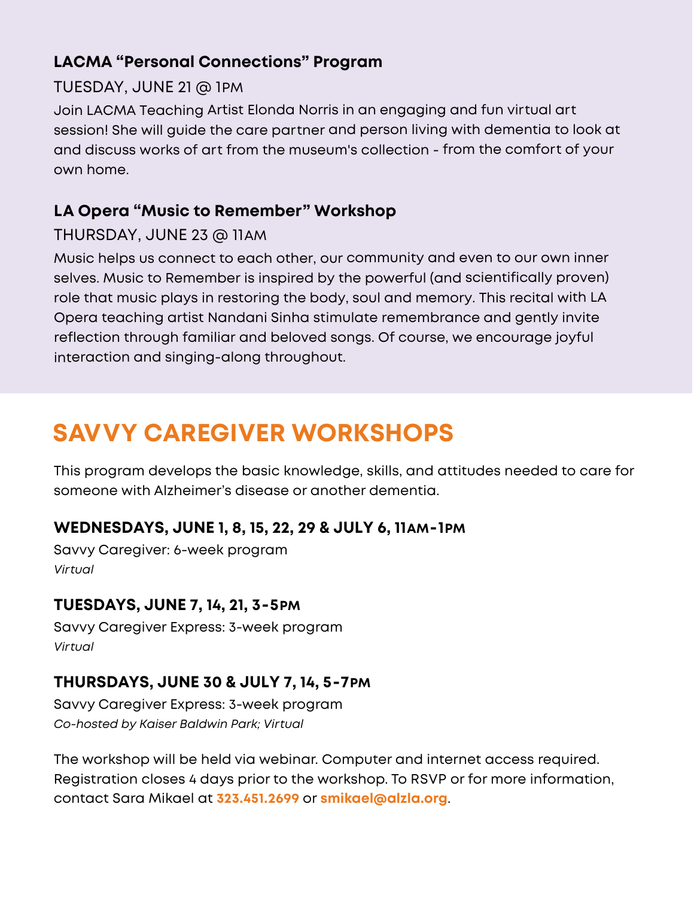#### **LACMA "Personal Connections" Program**

#### TUESDAY, JUNE 21 @ 1PM

Join LACMA Teaching Artist Elonda Norris in an engaging and fun virtual art session! She will guide the care partner and person living with dementia to look at and discuss works of art from the museum's collection - from the comfort of your own home.

## **LA Opera "Music to Remember" Workshop**

#### THURSDAY, JUNE 23 @ 11AM

Music helps us connect to each other, our community and even to our own inner selves. Music to Remember is inspired by the powerful (and scientifically proven) role that music plays in restoring the body, soul and memory. This recital with LA Opera teaching artist Nandani Sinha stimulate remembrance and gently invite reflection through familiar and beloved songs. Of course, we encourage joyful interaction and singing-along throughout.

# **SAVVY CAREGIVER WORKSHOPS**

This program develops the basic knowledge, skills, and attitudes needed to care for someone with Alzheimer's disease or another dementia.

#### **WEDNESDAYS, JUNE 1, 8, 15, 22, 29 & JULY 6, 11AM-1PM**

Savvy Caregiver: 6-week program *Virtual*

#### **TUESDAYS, JUNE 7, 14, 21, 3-5PM**

Savvy Caregiver Express: 3-week program *Virtual*

#### **THURSDAYS, JUNE 30 & JULY 7, 14, 5-7PM**

Savvy Caregiver Express: 3-week program *Co-hosted by Kaiser Baldwin Park; Virtual*

The workshop will be held via webinar. Computer and internet access required. Registration closes 4 days prior to the workshop. To RSVP or for more information, contact Sara Mikael at **323.451.2699** or **smikael@alzla.org**.